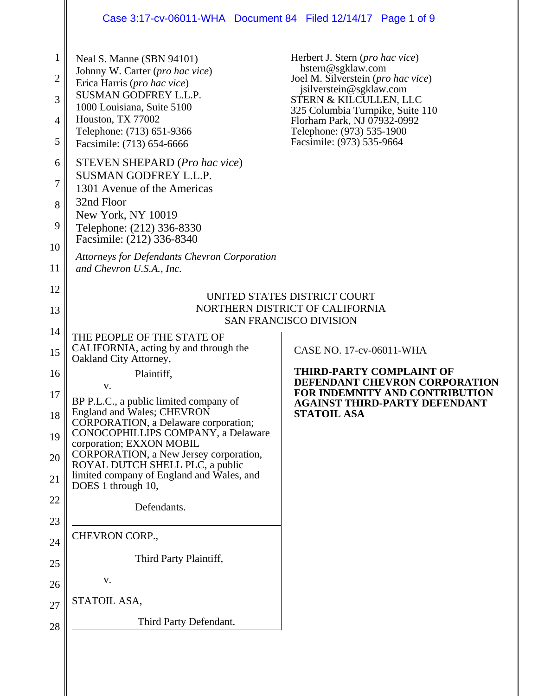# Case 3:17-cv-06011-WHA Document 84 Filed 12/14/17 Page 1 of 9

 $\mathsf{I}$ 

| $\mathbf 1$<br>2<br>3<br>4<br>5<br>6<br>7    | Neal S. Manne (SBN 94101)<br>Johnny W. Carter (pro hac vice)<br>Erica Harris (pro hac vice)<br>SUSMAN GODFREY L.L.P.<br>1000 Louisiana, Suite 5100<br>Houston, TX 77002<br>Telephone: (713) 651-9366<br>Facsimile: (713) 654-6666<br><b>STEVEN SHEPARD</b> (Pro hac vice)<br><b>SUSMAN GODFREY L.L.P.</b>                                                         | Herbert J. Stern (pro hac vice)<br>hstern@sgklaw.com<br>Joel M. Silverstein (pro hac vice)<br>jsilverstein@sgklaw.com<br>STERN & KILCULLEN, LLC<br>325 Columbia Turnpike, Suite 110<br>Florham Park, NJ 07932-0992<br>Telephone: (973) 535-1900<br>Facsimile: (973) 535-9664 |
|----------------------------------------------|-------------------------------------------------------------------------------------------------------------------------------------------------------------------------------------------------------------------------------------------------------------------------------------------------------------------------------------------------------------------|------------------------------------------------------------------------------------------------------------------------------------------------------------------------------------------------------------------------------------------------------------------------------|
| 8<br>9<br>10                                 | 1301 Avenue of the Americas<br>32nd Floor<br>New York, NY 10019<br>Telephone: (212) 336-8330<br>Facsimile: (212) 336-8340<br><b>Attorneys for Defendants Chevron Corporation</b>                                                                                                                                                                                  |                                                                                                                                                                                                                                                                              |
| 11                                           | and Chevron U.S.A., Inc.                                                                                                                                                                                                                                                                                                                                          |                                                                                                                                                                                                                                                                              |
| 12<br>13                                     |                                                                                                                                                                                                                                                                                                                                                                   | UNITED STATES DISTRICT COURT<br>NORTHERN DISTRICT OF CALIFORNIA<br><b>SAN FRANCISCO DIVISION</b>                                                                                                                                                                             |
| 14<br>15                                     | THE PEOPLE OF THE STATE OF<br>CALIFORNIA, acting by and through the<br>Oakland City Attorney,                                                                                                                                                                                                                                                                     | CASE NO. 17-cv-06011-WHA                                                                                                                                                                                                                                                     |
| 16<br>17<br>18<br>19<br>20<br>21<br>22<br>23 | Plaintiff,<br>V.<br>BP P.L.C., a public limited company of<br>England and Wales; CHEVRON<br>CORPORATION, a Delaware corporation;<br>CONOCOPHILLIPS COMPANY, a Delaware<br>corporation; EXXON MOBIL<br>CORPORATION, a New Jersey corporation,<br>ROYAL DUTCH SHELL PLC, a public<br>limited company of England and Wales, and<br>DOES 1 through 10,<br>Defendants. | <b>THIRD-PARTY COMPLAINT OF</b><br>DEFENDANT CHEVRON CORPORATION<br>FOR INDEMNITY AND CONTRIBUTION<br><b>AGAINST THIRD-PARTY DEFENDANT</b><br><b>STATOIL ASA</b>                                                                                                             |
| 24                                           | CHEVRON CORP.,                                                                                                                                                                                                                                                                                                                                                    |                                                                                                                                                                                                                                                                              |
| 25                                           | Third Party Plaintiff,                                                                                                                                                                                                                                                                                                                                            |                                                                                                                                                                                                                                                                              |
| 26                                           | V.                                                                                                                                                                                                                                                                                                                                                                |                                                                                                                                                                                                                                                                              |
| 27                                           | STATOIL ASA,                                                                                                                                                                                                                                                                                                                                                      |                                                                                                                                                                                                                                                                              |
| 28                                           | Third Party Defendant.                                                                                                                                                                                                                                                                                                                                            |                                                                                                                                                                                                                                                                              |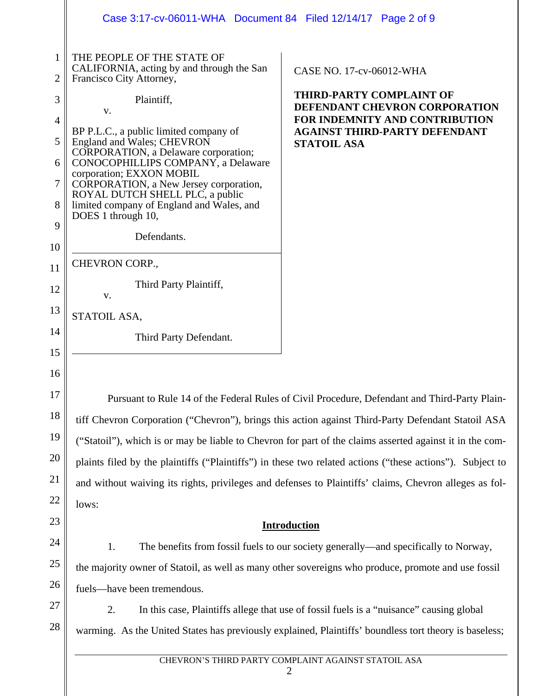|          | Case 3:17-cv-06011-WHA  Document 84  Filed 12/14/17  Page 2 of 9                                                                   |                                                                                                        |  |  |  |  |
|----------|------------------------------------------------------------------------------------------------------------------------------------|--------------------------------------------------------------------------------------------------------|--|--|--|--|
| 1<br>2   | THE PEOPLE OF THE STATE OF<br>CALIFORNIA, acting by and through the San<br>Francisco City Attorney,                                | CASE NO. 17-cv-06012-WHA                                                                               |  |  |  |  |
| 3        | Plaintiff,                                                                                                                         | <b>THIRD-PARTY COMPLAINT OF</b>                                                                        |  |  |  |  |
| 4        | V.                                                                                                                                 | DEFENDANT CHEVRON CORPORATION<br>FOR INDEMNITY AND CONTRIBUTION                                        |  |  |  |  |
| 5        | BP P.L.C., a public limited company of<br>England and Wales; CHEVRON<br>CORPORATION, a Delaware corporation;                       | <b>AGAINST THIRD-PARTY DEFENDANT</b><br><b>STATOIL ASA</b>                                             |  |  |  |  |
| 6        | CONOCOPHILLIPS COMPANY, a Delaware<br>corporation; EXXON MOBIL                                                                     |                                                                                                        |  |  |  |  |
| 7        | CORPORATION, a New Jersey corporation,<br>ROYAL DUTCH SHELL PLC, a public                                                          |                                                                                                        |  |  |  |  |
| 8        | limited company of England and Wales, and<br>DOES 1 through 10,                                                                    |                                                                                                        |  |  |  |  |
| 9        | Defendants.                                                                                                                        |                                                                                                        |  |  |  |  |
| 10       |                                                                                                                                    |                                                                                                        |  |  |  |  |
| 11       | CHEVRON CORP.,                                                                                                                     |                                                                                                        |  |  |  |  |
| 12       | Third Party Plaintiff,<br>V.                                                                                                       |                                                                                                        |  |  |  |  |
| 13       | STATOIL ASA,                                                                                                                       |                                                                                                        |  |  |  |  |
| 14       | Third Party Defendant.                                                                                                             |                                                                                                        |  |  |  |  |
| 15       |                                                                                                                                    |                                                                                                        |  |  |  |  |
| 16<br>17 |                                                                                                                                    |                                                                                                        |  |  |  |  |
| 18       | Pursuant to Rule 14 of the Federal Rules of Civil Procedure, Defendant and Third-Party Plain-                                      |                                                                                                        |  |  |  |  |
| 19       | tiff Chevron Corporation ("Chevron"), brings this action against Third-Party Defendant Statoil ASA                                 |                                                                                                        |  |  |  |  |
| 20       | ("Statoil"), which is or may be liable to Chevron for part of the claims asserted against it in the com-                           |                                                                                                        |  |  |  |  |
| 21       | plaints filed by the plaintiffs ("Plaintiffs") in these two related actions ("these actions"). Subject to                          |                                                                                                        |  |  |  |  |
| 22       | and without waiving its rights, privileges and defenses to Plaintiffs' claims, Chevron alleges as fol-                             |                                                                                                        |  |  |  |  |
| 23       | lows:                                                                                                                              |                                                                                                        |  |  |  |  |
| 24       | <b>Introduction</b><br>1.<br>The benefits from fossil fuels to our society generally—and specifically to Norway,                   |                                                                                                        |  |  |  |  |
| 25       |                                                                                                                                    |                                                                                                        |  |  |  |  |
| 26       | the majority owner of Statoil, as well as many other sovereigns who produce, promote and use fossil<br>fuels—have been tremendous. |                                                                                                        |  |  |  |  |
| 27       | 2.                                                                                                                                 | In this case, Plaintiffs allege that use of fossil fuels is a "nuisance" causing global                |  |  |  |  |
| 28       |                                                                                                                                    | warming. As the United States has previously explained, Plaintiffs' boundless tort theory is baseless; |  |  |  |  |
|          | CHEVRON'S THIRD PARTY COMPLAINT AGAINST STATOIL ASA                                                                                |                                                                                                        |  |  |  |  |
|          | 2                                                                                                                                  |                                                                                                        |  |  |  |  |
|          |                                                                                                                                    |                                                                                                        |  |  |  |  |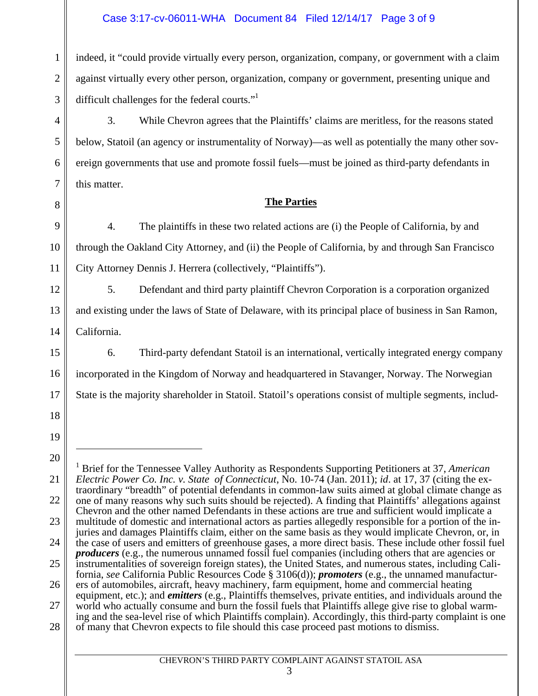# Case 3:17-cv-06011-WHA Document 84 Filed 12/14/17 Page 3 of 9

1 2 3 indeed, it "could provide virtually every person, organization, company, or government with a claim against virtually every other person, organization, company or government, presenting unique and difficult challenges for the federal courts."<sup>1</sup>

3. While Chevron agrees that the Plaintiffs' claims are meritless, for the reasons stated below, Statoil (an agency or instrumentality of Norway)—as well as potentially the many other sovereign governments that use and promote fossil fuels—must be joined as third-party defendants in this matter.

## **The Parties**

4. The plaintiffs in these two related actions are (i) the People of California, by and through the Oakland City Attorney, and (ii) the People of California, by and through San Francisco City Attorney Dennis J. Herrera (collectively, "Plaintiffs").

5. Defendant and third party plaintiff Chevron Corporation is a corporation organized and existing under the laws of State of Delaware, with its principal place of business in San Ramon, California.

6. Third-party defendant Statoil is an international, vertically integrated energy company incorporated in the Kingdom of Norway and headquartered in Stavanger, Norway. The Norwegian State is the majority shareholder in Statoil. Statoil's operations consist of multiple segments, includ-

4

5

6

7

8

9

10

11

12

13

14

15

16

17

 $\overline{a}$ 

<sup>18</sup>

<sup>19</sup> 20

<sup>21</sup> 22 23 24 25 26 27 28 1 Brief for the Tennessee Valley Authority as Respondents Supporting Petitioners at 37, *American Electric Power Co. Inc. v. State of Connecticut*, No. 10-74 (Jan. 2011); *id*. at 17, 37 (citing the extraordinary "breadth" of potential defendants in common-law suits aimed at global climate change as one of many reasons why such suits should be rejected). A finding that Plaintiffs' allegations against Chevron and the other named Defendants in these actions are true and sufficient would implicate a multitude of domestic and international actors as parties allegedly responsible for a portion of the injuries and damages Plaintiffs claim, either on the same basis as they would implicate Chevron, or, in the case of users and emitters of greenhouse gases, a more direct basis. These include other fossil fuel *producers* (e.g., the numerous unnamed fossil fuel companies (including others that are agencies or instrumentalities of sovereign foreign states), the United States, and numerous states, including California, *see* California Public Resources Code § 3106(d)); *promoters* (e.g., the unnamed manufacturers of automobiles, aircraft, heavy machinery, farm equipment, home and commercial heating equipment, etc.); and *emitters* (e.g., Plaintiffs themselves, private entities, and individuals around the world who actually consume and burn the fossil fuels that Plaintiffs allege give rise to global warming and the sea-level rise of which Plaintiffs complain). Accordingly, this third-party complaint is one of many that Chevron expects to file should this case proceed past motions to dismiss.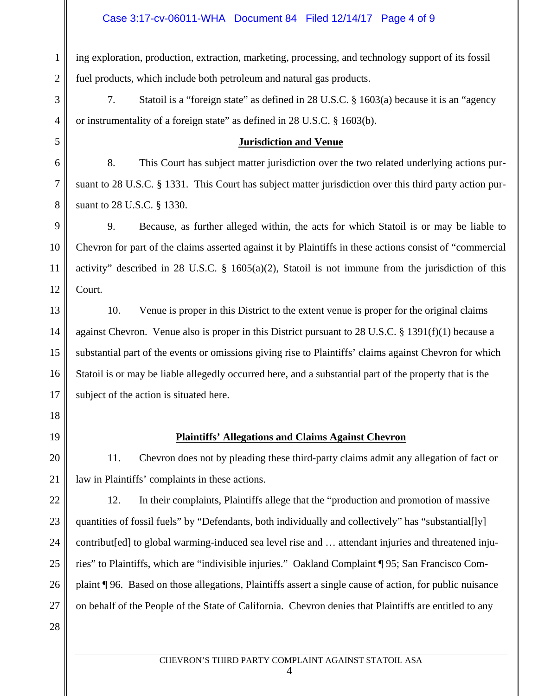#### Case 3:17-cv-06011-WHA Document 84 Filed 12/14/17 Page 4 of 9

1

2

3

4

5

6

7

8

18

19

20

21

28

ing exploration, production, extraction, marketing, processing, and technology support of its fossil fuel products, which include both petroleum and natural gas products.

7. Statoil is a "foreign state" as defined in 28 U.S.C. § 1603(a) because it is an "agency or instrumentality of a foreign state" as defined in 28 U.S.C. § 1603(b).

#### **Jurisdiction and Venue**

8. This Court has subject matter jurisdiction over the two related underlying actions pursuant to 28 U.S.C. § 1331. This Court has subject matter jurisdiction over this third party action pursuant to 28 U.S.C. § 1330.

9 10 11 12 9. Because, as further alleged within, the acts for which Statoil is or may be liable to Chevron for part of the claims asserted against it by Plaintiffs in these actions consist of "commercial activity" described in 28 U.S.C. § 1605(a)(2), Statoil is not immune from the jurisdiction of this Court.

13 14 15 16 17 10. Venue is proper in this District to the extent venue is proper for the original claims against Chevron. Venue also is proper in this District pursuant to 28 U.S.C. § 1391(f)(1) because a substantial part of the events or omissions giving rise to Plaintiffs' claims against Chevron for which Statoil is or may be liable allegedly occurred here, and a substantial part of the property that is the subject of the action is situated here.

## **Plaintiffs' Allegations and Claims Against Chevron**

11. Chevron does not by pleading these third-party claims admit any allegation of fact or law in Plaintiffs' complaints in these actions.

22 23 24 25 26 27 12. In their complaints, Plaintiffs allege that the "production and promotion of massive quantities of fossil fuels" by "Defendants, both individually and collectively" has "substantial[ly] contribut[ed] to global warming-induced sea level rise and … attendant injuries and threatened injuries" to Plaintiffs, which are "indivisible injuries." Oakland Complaint ¶ 95; San Francisco Complaint ¶ 96. Based on those allegations, Plaintiffs assert a single cause of action, for public nuisance on behalf of the People of the State of California. Chevron denies that Plaintiffs are entitled to any

#### CHEVRON'S THIRD PARTY COMPLAINT AGAINST STATOIL ASA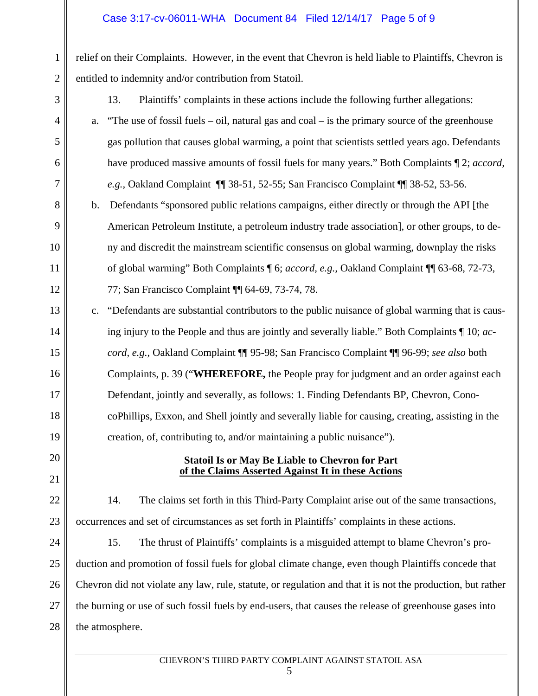relief on their Complaints. However, in the event that Chevron is held liable to Plaintiffs, Chevron is entitled to indemnity and/or contribution from Statoil.

3

4

5

6

7

20

21

1

2

13. Plaintiffs' complaints in these actions include the following further allegations:

- a. "The use of fossil fuels oil, natural gas and coal is the primary source of the greenhouse gas pollution that causes global warming, a point that scientists settled years ago. Defendants have produced massive amounts of fossil fuels for many years." Both Complaints ¶ 2; *accord, e.g.,* Oakland Complaint ¶¶ 38-51, 52-55; San Francisco Complaint ¶¶ 38-52, 53-56.
- 8 9 10 11 12 b. Defendants "sponsored public relations campaigns, either directly or through the API [the American Petroleum Institute, a petroleum industry trade association], or other groups, to deny and discredit the mainstream scientific consensus on global warming, downplay the risks of global warming" Both Complaints ¶ 6; *accord, e.g.,* Oakland Complaint ¶¶ 63-68, 72-73, 77; San Francisco Complaint ¶¶ 64-69, 73-74, 78.
- 13 14 15 16 17 18 19 c. "Defendants are substantial contributors to the public nuisance of global warming that is causing injury to the People and thus are jointly and severally liable." Both Complaints ¶ 10; *accord, e.g.,* Oakland Complaint ¶¶ 95-98; San Francisco Complaint ¶¶ 96-99; *see also* both Complaints, p. 39 ("**WHEREFORE,** the People pray for judgment and an order against each Defendant, jointly and severally, as follows: 1. Finding Defendants BP, Chevron, ConocoPhillips, Exxon, and Shell jointly and severally liable for causing, creating, assisting in the creation, of, contributing to, and/or maintaining a public nuisance").

## **Statoil Is or May Be Liable to Chevron for Part of the Claims Asserted Against It in these Actions**

22 23 14. The claims set forth in this Third-Party Complaint arise out of the same transactions, occurrences and set of circumstances as set forth in Plaintiffs' complaints in these actions.

24 25 26 27 28 15. The thrust of Plaintiffs' complaints is a misguided attempt to blame Chevron's production and promotion of fossil fuels for global climate change, even though Plaintiffs concede that Chevron did not violate any law, rule, statute, or regulation and that it is not the production, but rather the burning or use of such fossil fuels by end-users, that causes the release of greenhouse gases into the atmosphere.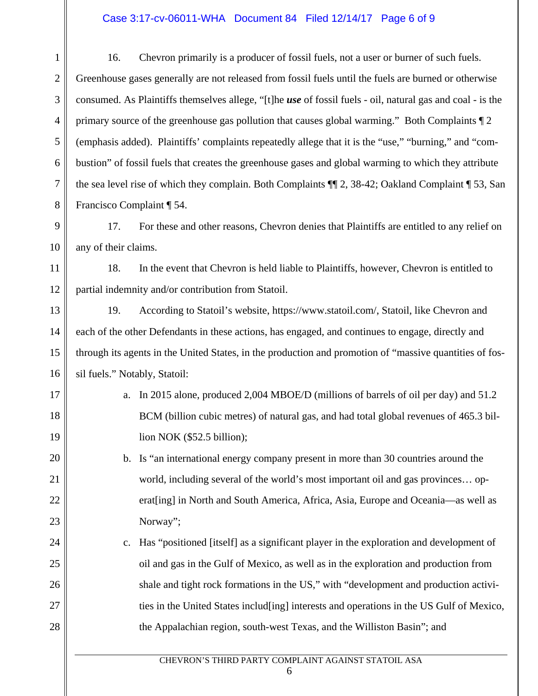#### Case 3:17-cv-06011-WHA Document 84 Filed 12/14/17 Page 6 of 9

1 2 3 4 5 6 7 8 16. Chevron primarily is a producer of fossil fuels, not a user or burner of such fuels. Greenhouse gases generally are not released from fossil fuels until the fuels are burned or otherwise consumed. As Plaintiffs themselves allege, "[t]he *use* of fossil fuels - oil, natural gas and coal - is the primary source of the greenhouse gas pollution that causes global warming." Both Complaints ¶ 2 (emphasis added). Plaintiffs' complaints repeatedly allege that it is the "use," "burning," and "combustion" of fossil fuels that creates the greenhouse gases and global warming to which they attribute the sea level rise of which they complain. Both Complaints ¶¶ 2, 38-42; Oakland Complaint ¶ 53, San Francisco Complaint ¶ 54.

17. For these and other reasons, Chevron denies that Plaintiffs are entitled to any relief on any of their claims.

9

10

17

18

19

20

21

22

23

24

25

26

27

28

11 12 18. In the event that Chevron is held liable to Plaintiffs, however, Chevron is entitled to partial indemnity and/or contribution from Statoil.

13 14 15 16 19. According to Statoil's website, https://www.statoil.com/, Statoil, like Chevron and each of the other Defendants in these actions, has engaged, and continues to engage, directly and through its agents in the United States, in the production and promotion of "massive quantities of fossil fuels." Notably, Statoil:

- a. In 2015 alone, produced 2,004 MBOE/D (millions of barrels of oil per day) and 51.2 BCM (billion cubic metres) of natural gas, and had total global revenues of 465.3 billion NOK (\$52.5 billion);
	- b. Is "an international energy company present in more than 30 countries around the world, including several of the world's most important oil and gas provinces… operat[ing] in North and South America, Africa, Asia, Europe and Oceania—as well as Norway";
- c. Has "positioned [itself] as a significant player in the exploration and development of oil and gas in the Gulf of Mexico, as well as in the exploration and production from shale and tight rock formations in the US," with "development and production activities in the United States includ[ing] interests and operations in the US Gulf of Mexico, the Appalachian region, south-west Texas, and the Williston Basin"; and

#### CHEVRON'S THIRD PARTY COMPLAINT AGAINST STATOIL ASA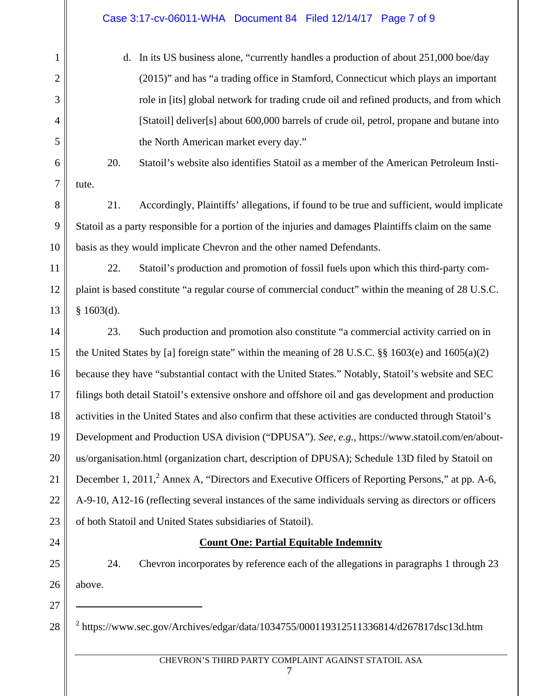# Case 3:17-cv-06011-WHA Document 84 Filed 12/14/17 Page 7 of 9

d. In its US business alone, "currently handles a production of about 251,000 boe/day (2015)" and has "a trading office in Stamford, Connecticut which plays an important role in [its] global network for trading crude oil and refined products, and from which [Statoil] deliver[s] about 600,000 barrels of crude oil, petrol, propane and butane into the North American market every day."

20. Statoil's website also identifies Statoil as a member of the American Petroleum Institute.

21. Accordingly, Plaintiffs' allegations, if found to be true and sufficient, would implicate Statoil as a party responsible for a portion of the injuries and damages Plaintiffs claim on the same basis as they would implicate Chevron and the other named Defendants.

11 12 13 22. Statoil's production and promotion of fossil fuels upon which this third-party complaint is based constitute "a regular course of commercial conduct" within the meaning of 28 U.S.C. § 1603(d).

14 15 16 17 18 19 20 21 22 23 23. Such production and promotion also constitute "a commercial activity carried on in the United States by [a] foreign state" within the meaning of 28 U.S.C.  $\S$ § 1603(e) and 1605(a)(2) because they have "substantial contact with the United States." Notably, Statoil's website and SEC filings both detail Statoil's extensive onshore and offshore oil and gas development and production activities in the United States and also confirm that these activities are conducted through Statoil's Development and Production USA division ("DPUSA"). *See, e.g.,* https://www.statoil.com/en/aboutus/organisation.html (organization chart, description of DPUSA); Schedule 13D filed by Statoil on December 1, 2011,  $^2$  Annex A, "Directors and Executive Officers of Reporting Persons," at pp. A-6, A-9-10, A12-16 (reflecting several instances of the same individuals serving as directors or officers of both Statoil and United States subsidiaries of Statoil).

24

1

2

3

4

5

6

7

8

9

10

# **Count One: Partial Equitable Indemnity**

25 26 24. Chevron incorporates by reference each of the allegations in paragraphs 1 through 23 above.

27 28  $\overline{a}$ 

 $^{2}$  https://www.sec.gov/Archives/edgar/data/1034755/000119312511336814/d267817dsc13d.htm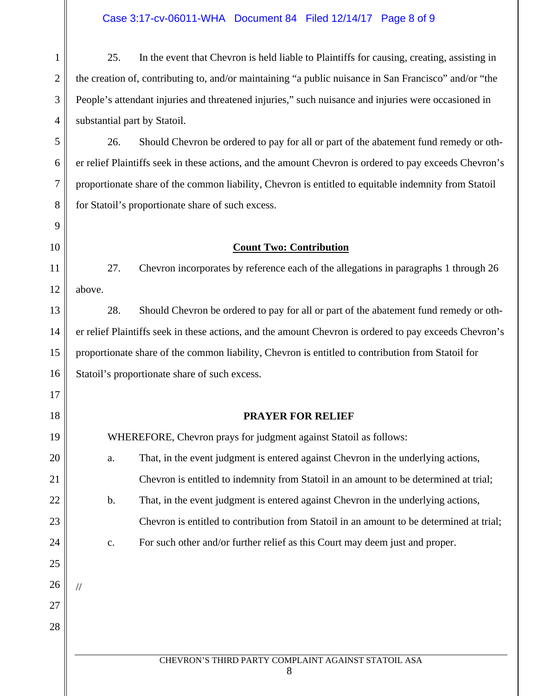# Case 3:17-cv-06011-WHA Document 84 Filed 12/14/17 Page 8 of 9

1 2 3 4 5 25. In the event that Chevron is held liable to Plaintiffs for causing, creating, assisting in the creation of, contributing to, and/or maintaining "a public nuisance in San Francisco" and/or "the People's attendant injuries and threatened injuries," such nuisance and injuries were occasioned in substantial part by Statoil. 26. Should Chevron be ordered to pay for all or part of the abatement fund remedy or oth-

er relief Plaintiffs seek in these actions, and the amount Chevron is ordered to pay exceeds Chevron's proportionate share of the common liability, Chevron is entitled to equitable indemnity from Statoil for Statoil's proportionate share of such excess.

#### **Count Two: Contribution**

12 27. Chevron incorporates by reference each of the allegations in paragraphs 1 through 26 above.

15 16 28. Should Chevron be ordered to pay for all or part of the abatement fund remedy or other relief Plaintiffs seek in these actions, and the amount Chevron is ordered to pay exceeds Chevron's proportionate share of the common liability, Chevron is entitled to contribution from Statoil for Statoil's proportionate share of such excess.

## **PRAYER FOR RELIEF**

| 19 | WHEREFORE, Chevron prays for judgment against Statoil as follows: |    |                                                                                          |
|----|-------------------------------------------------------------------|----|------------------------------------------------------------------------------------------|
| 20 |                                                                   | a. | That, in the event judgment is entered against Chevron in the underlying actions,        |
| 21 |                                                                   |    | Chevron is entitled to indemnity from Statoil in an amount to be determined at trial;    |
| 22 |                                                                   | b. | That, in the event judgment is entered against Chevron in the underlying actions,        |
| 23 |                                                                   |    | Chevron is entitled to contribution from Statoil in an amount to be determined at trial; |
| 24 |                                                                   | c. | For such other and/or further relief as this Court may deem just and proper.             |
| 25 |                                                                   |    |                                                                                          |
| 26 |                                                                   |    |                                                                                          |
| 27 |                                                                   |    |                                                                                          |
| 28 |                                                                   |    |                                                                                          |
|    |                                                                   |    |                                                                                          |
|    |                                                                   |    | CHEVRON'S THIRD PARTY COMPLAINT AGAINST STATOIL ASA<br>8                                 |

9

10

11

13

14

17

18